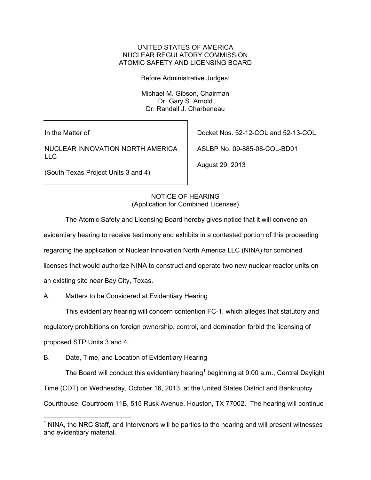## UNITED STATES OF AMERICA NUCLEAR REGULATORY COMMISSION ATOMIC SAFETY AND LICENSING BOARD

Before Administrative Judges:

 Michael M. Gibson, Chairman Dr. Gary S. Arnold Dr. Randall J. Charbeneau

In the Matter of

NUCLEAR INNOVATION NORTH AMERICA LLC

(South Texas Project Units 3 and 4)

Docket Nos. 52-12-COL and 52-13-COL

ASLBP No. 09-885-08-COL-BD01

August 29, 2013

NOTICE OF HEARING (Application for Combined Licenses)

The Atomic Safety and Licensing Board hereby gives notice that it will convene an

evidentiary hearing to receive testimony and exhibits in a contested portion of this proceeding

regarding the application of Nuclear Innovation North America LLC (NINA) for combined

licenses that would authorize NINA to construct and operate two new nuclear reactor units on

an existing site near Bay City, Texas.

A. Matters to be Considered at Evidentiary Hearing

This evidentiary hearing will concern contention FC-1, which alleges that statutory and

regulatory prohibitions on foreign ownership, control, and domination forbid the licensing of

proposed STP Units 3 and 4.

 $\overline{a}$ 

B. Date, Time, and Location of Evidentiary Hearing

The Board will conduct this evidentiary hearing<sup>1</sup> beginning at  $9:00$  a.m., Central Daylight

Time (CDT) on Wednesday, October 16, 2013, at the United States District and Bankruptcy

Courthouse, Courtroom 11B, 515 Rusk Avenue, Houston, TX 77002. The hearing will continue

 $1$  NINA, the NRC Staff, and Intervenors will be parties to the hearing and will present witnesses and evidentiary material.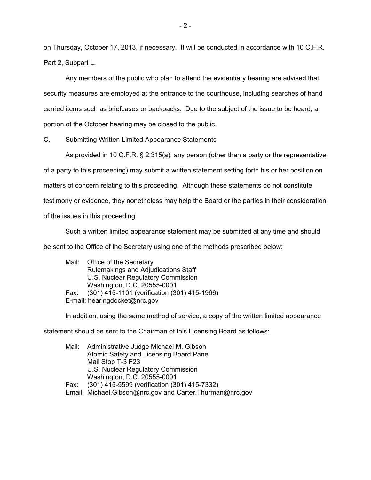on Thursday, October 17, 2013, if necessary. It will be conducted in accordance with 10 C.F.R. Part 2, Subpart L.

Any members of the public who plan to attend the evidentiary hearing are advised that security measures are employed at the entrance to the courthouse, including searches of hand carried items such as briefcases or backpacks. Due to the subject of the issue to be heard, a portion of the October hearing may be closed to the public.

C. Submitting Written Limited Appearance Statements

As provided in 10 C.F.R. § 2.315(a), any person (other than a party or the representative of a party to this proceeding) may submit a written statement setting forth his or her position on matters of concern relating to this proceeding. Although these statements do not constitute testimony or evidence, they nonetheless may help the Board or the parties in their consideration of the issues in this proceeding.

Such a written limited appearance statement may be submitted at any time and should be sent to the Office of the Secretary using one of the methods prescribed below:

Mail: Office of the Secretary Rulemakings and Adjudications Staff U.S. Nuclear Regulatory Commission Washington, D.C. 20555-0001 Fax: (301) 415-1101 (verification (301) 415-1966) E-mail: hearingdocket@nrc.gov

In addition, using the same method of service, a copy of the written limited appearance

statement should be sent to the Chairman of this Licensing Board as follows:

Mail: Administrative Judge Michael M. Gibson Atomic Safety and Licensing Board Panel Mail Stop T-3 F23 U.S. Nuclear Regulatory Commission Washington, D.C. 20555-0001 Fax: (301) 415-5599 (verification (301) 415-7332) Email: Michael.Gibson@nrc.gov and Carter.Thurman@nrc.gov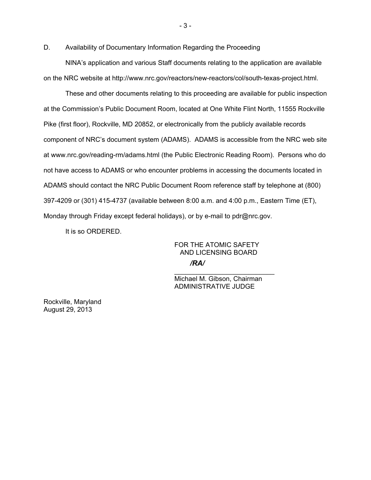D. Availability of Documentary Information Regarding the Proceeding

NINA's application and various Staff documents relating to the application are available on the NRC website at http://www.nrc.gov/reactors/new-reactors/col/south-texas-project.html.

These and other documents relating to this proceeding are available for public inspection at the Commission's Public Document Room, located at One White Flint North, 11555 Rockville Pike (first floor), Rockville, MD 20852, or electronically from the publicly available records component of NRC's document system (ADAMS). ADAMS is accessible from the NRC web site at www.nrc.gov/reading-rm/adams.html (the Public Electronic Reading Room). Persons who do not have access to ADAMS or who encounter problems in accessing the documents located in ADAMS should contact the NRC Public Document Room reference staff by telephone at (800) 397-4209 or (301) 415-4737 (available between 8:00 a.m. and 4:00 p.m., Eastern Time (ET), Monday through Friday except federal holidays), or by e-mail to pdr@nrc.gov.

It is so ORDERED.

FOR THE ATOMIC SAFETY AND LICENSING BOARD

*/RA/*

\_\_\_\_\_\_\_\_\_\_\_\_\_\_\_\_\_\_\_\_\_\_\_\_\_\_\_ Michael M. Gibson, Chairman ADMINISTRATIVE JUDGE

Rockville, Maryland August 29, 2013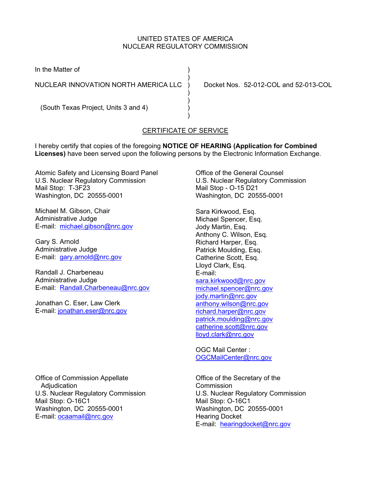## UNITED STATES OF AMERICA NUCLEAR REGULATORY COMMISSION

In the Matter of (1)

NUCLEAR INNOVATION NORTH AMERICA LLC ) Docket Nos. 52-012-COL and 52-013-COL

 $)$ 

 $)$ 

 $)$ 

) and the contract of  $\mathcal{L}$ (South Texas Project, Units 3 and 4) )

## CERTIFICATE OF SERVICE

I hereby certify that copies of the foregoing **NOTICE OF HEARING (Application for Combined Licenses)** have been served upon the following persons by the Electronic Information Exchange.

Atomic Safety and Licensing Board Panel U.S. Nuclear Regulatory Commission Mail Stop: T-3F23 Washington, DC 20555-0001

Michael M. Gibson, Chair Administrative Judge E-mail: michael.gibson@nrc.gov

Gary S. Arnold Administrative Judge E-mail: gary.arnold@nrc.gov

Randall J. Charbeneau Administrative Judge E-mail: Randall.Charbeneau@nrc.gov

Jonathan C. Eser, Law Clerk E-mail: jonathan.eser@nrc.gov

Office of Commission Appellate Adjudication U.S. Nuclear Regulatory Commission Mail Stop: O-16C1 Washington, DC 20555-0001 E-mail: ocaamail@nrc.gov

Office of the General Counsel U.S. Nuclear Regulatory Commission Mail Stop - O-15 D21 Washington, DC 20555-0001

Sara Kirkwood, Esq. Michael Spencer, Esq. Jody Martin, Esq. Anthony C. Wilson, Esq. Richard Harper, Esq. Patrick Moulding, Esq. Catherine Scott, Esq. Lloyd Clark, Esq. E-mail: sara.kirkwood@nrc.gov michael.spencer@nrc.gov jody.martin@nrc.gov anthony.wilson@nrc.gov richard.harper@nrc.gov patrick.moulding@nrc.gov catherine.scott@nrc.gov lloyd.clark@nrc.gov

OGC Mail Center : OGCMailCenter@nrc.gov

Office of the Secretary of the Commission U.S. Nuclear Regulatory Commission Mail Stop: O-16C1 Washington, DC 20555-0001 Hearing Docket E-mail: hearingdocket@nrc.gov